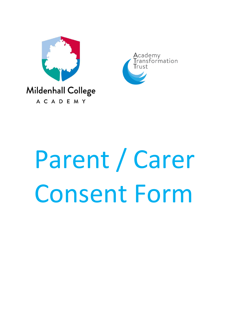



# Parent / Carer Consent Form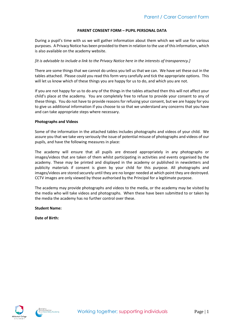### **PARENT CONSENT FORM – PUPIL PERSONAL DATA**

During a pupil's time with us we will gather information about them which we will use for various purposes. A Privacy Notice has been provided to them in relation to the use of this information, which is also available on the academy website.

# *[It is advisable to include a link to the Privacy Notice here in the interests of transparency.]*

There are some things that we cannot do unless you tell us that we can. We have set these out in the tables attached. Please could you read this form very carefully and tick the appropriate options. This will let us know which of these things you are happy for us to do, and which you are not.

If you are not happy for us to do any of the things in the tables attached then this will not affect your child's place at the academy. You are completely free to refuse to provide your consent to any of these things. You do not have to provide reasons for refusing your consent, but we are happy for you to give us additional information if you choose to so that we understand any concerns that you have and can take appropriate steps where necessary.

### **Photographs and Videos**

Some of the information in the attached tables includes photographs and videos of your child. We assure you that we take very seriously the issue of potential misuse of photographs and videos of our pupils, and have the following measures in place:

The academy will ensure that all pupils are dressed appropriately in any photographs or images/videos that are taken of them whilst participating in activities and events organised by the academy. These may be printed and displayed in the academy or published in newsletters and publicity materials if consent is given by your child for this purpose. All photographs and images/videos are stored securely until they are no longer needed at which point they are destroyed. CCTV images are only viewed by those authorised by the Principal for a legitimate purpose.

The academy may provide photographs and videos to the media, or the academy may be visited by the media who will take videos and photographs. When these have been submitted to or taken by the media the academy has no further control over these.

**Student Name:**

**Date of Birth:**



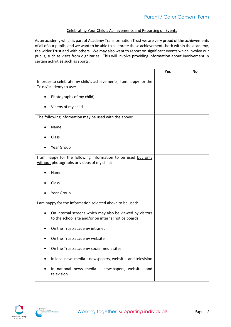## Celebrating Your Child's Achievements and Reporting on Events

As an academy which is part of Academy Transformation Trust we are very proud of the achievements of all of our pupils, and we want to be able to celebrate these achievements both within the academy, the wider Trust and with others. We may also want to report on significant events which involve our pupils, such as visits from dignitaries. This will involve providing information about involvement in certain activities such as sports.

|                                                                                                                 | Yes | No |
|-----------------------------------------------------------------------------------------------------------------|-----|----|
| In order to celebrate my child's achievements, I am happy for the<br>Trust/academy to use:                      |     |    |
| Photographs of my child]                                                                                        |     |    |
| Videos of my child                                                                                              |     |    |
| The following information may be used with the above:                                                           |     |    |
| Name                                                                                                            |     |    |
| Class                                                                                                           |     |    |
| Year Group                                                                                                      |     |    |
| I am happy for the following information to be used but only<br>without photographs or videos of my child:      |     |    |
| Name                                                                                                            |     |    |
| Class                                                                                                           |     |    |
| Year Group                                                                                                      |     |    |
| I am happy for the information selected above to be used:                                                       |     |    |
| On internal screens which may also be viewed by visitors<br>to the school site and/or on internal notice boards |     |    |
| On the Trust/academy intranet                                                                                   |     |    |
| On the Trust/academy website                                                                                    |     |    |
| On the Trust/academy social media sites                                                                         |     |    |
| In local news media - newspapers, websites and television                                                       |     |    |
| In national news media - newspapers, websites and<br>television                                                 |     |    |